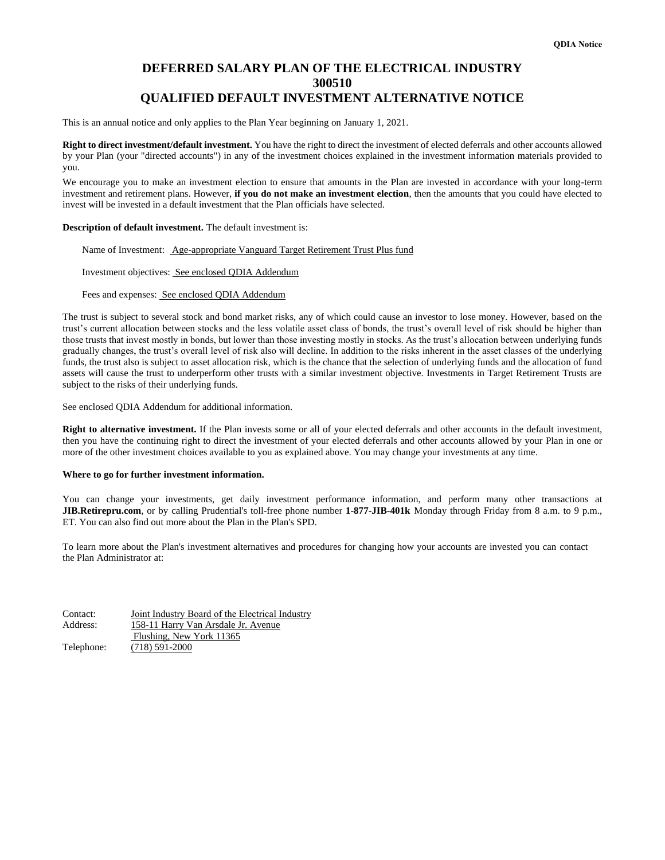# **DEFERRED SALARY PLAN OF THE ELECTRICAL INDUSTRY 300510 QUALIFIED DEFAULT INVESTMENT ALTERNATIVE NOTICE**

This is an annual notice and only applies to the Plan Year beginning on January 1, 2021.

**Right to direct investment/default investment.** You have the right to direct the investment of elected deferrals and other accounts allowed by your Plan (your "directed accounts") in any of the investment choices explained in the investment information materials provided to you.

We encourage you to make an investment election to ensure that amounts in the Plan are invested in accordance with your long-term investment and retirement plans. However, **if you do not make an investment election**, then the amounts that you could have elected to invest will be invested in a default investment that the Plan officials have selected.

### **Description of default investment.** The default investment is:

Name of Investment: Age-appropriate Vanguard Target Retirement Trust Plus fund

## Investment objectives: See enclosed QDIA Addendum

Fees and expenses: See enclosed QDIA Addendum

The trust is subject to several stock and bond market risks, any of which could cause an investor to lose money. However, based on the trust's current allocation between stocks and the less volatile asset class of bonds, the trust's overall level of risk should be higher than those trusts that invest mostly in bonds, but lower than those investing mostly in stocks. As the trust's allocation between underlying funds gradually changes, the trust's overall level of risk also will decline. In addition to the risks inherent in the asset classes of the underlying funds, the trust also is subject to asset allocation risk, which is the chance that the selection of underlying funds and the allocation of fund assets will cause the trust to underperform other trusts with a similar investment objective. Investments in Target Retirement Trusts are subject to the risks of their underlying funds.

See enclosed QDIA Addendum for additional information.

**Right to alternative investment.** If the Plan invests some or all of your elected deferrals and other accounts in the default investment, then you have the continuing right to direct the investment of your elected deferrals and other accounts allowed by your Plan in one or more of the other investment choices available to you as explained above. You may change your investments at any time.

#### **Where to go for further investment information.**

You can change your investments, get daily investment performance information, and perform many other transactions at **JIB.Retirepru.com**, or by calling Prudential's toll-free phone number **1-877-JIB-401k** Monday through Friday from 8 a.m. to 9 p.m., ET. You can also find out more about the Plan in the Plan's SPD.

To learn more about the Plan's investment alternatives and procedures for changing how your accounts are invested you can contact the Plan Administrator at:

| Contact:   | Joint Industry Board of the Electrical Industry |  |  |
|------------|-------------------------------------------------|--|--|
| Address:   | 158-11 Harry Van Arsdale Jr. Avenue             |  |  |
|            | Flushing, New York 11365                        |  |  |
| Telephone: | $(718)$ 591-2000                                |  |  |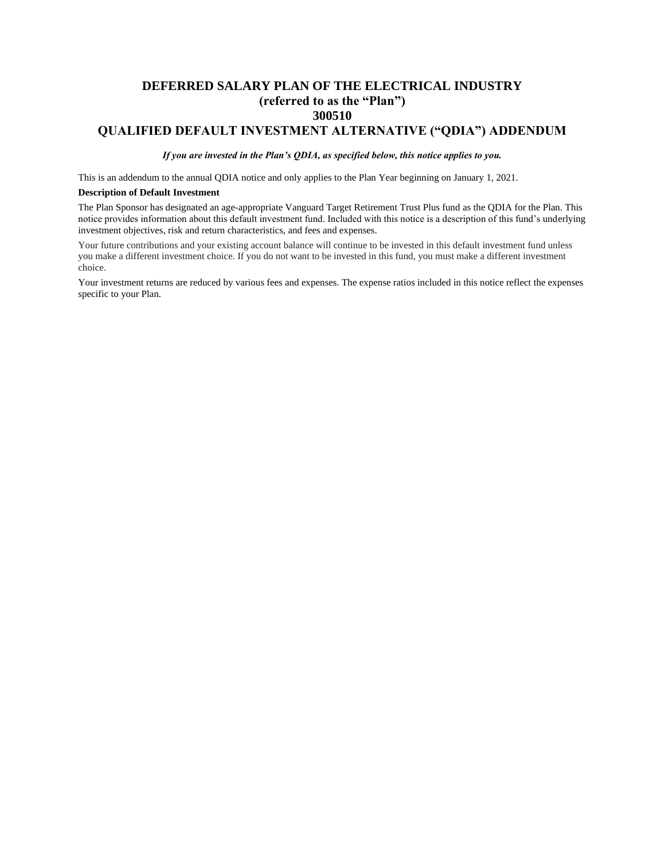# **DEFERRED SALARY PLAN OF THE ELECTRICAL INDUSTRY (referred to as the "Plan") 300510**

# **QUALIFIED DEFAULT INVESTMENT ALTERNATIVE ("QDIA") ADDENDUM**

*If you are invested in the Plan's QDIA, as specified below, this notice applies to you.*

This is an addendum to the annual QDIA notice and only applies to the Plan Year beginning on January 1, 2021.

### **Description of Default Investment**

The Plan Sponsor has designated an age-appropriate Vanguard Target Retirement Trust Plus fund as the QDIA for the Plan. This notice provides information about this default investment fund. Included with this notice is a description of this fund's underlying investment objectives, risk and return characteristics, and fees and expenses.

Your future contributions and your existing account balance will continue to be invested in this default investment fund unless you make a different investment choice. If you do not want to be invested in this fund, you must make a different investment choice.

Your investment returns are reduced by various fees and expenses. The expense ratios included in this notice reflect the expenses specific to your Plan.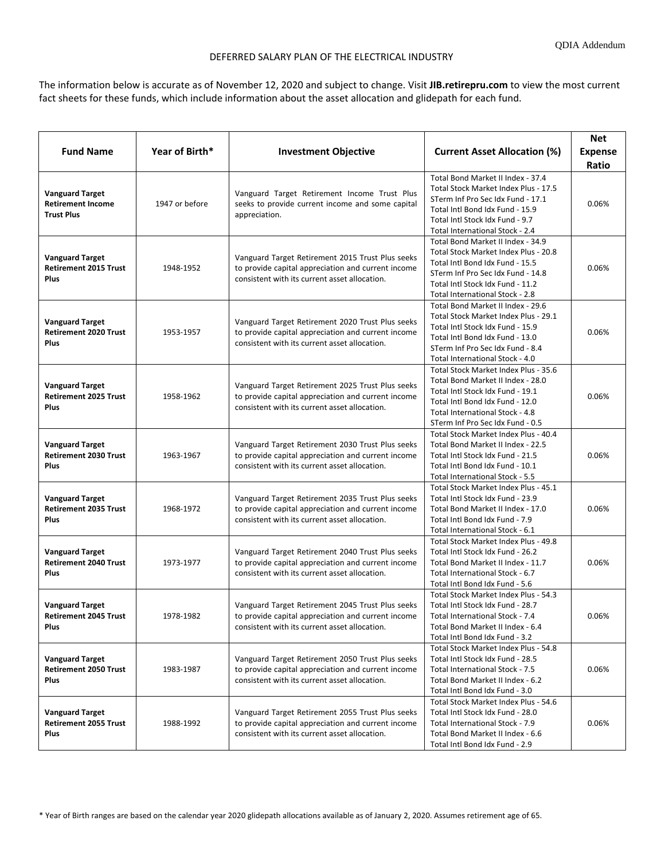# DEFERRED SALARY PLAN OF THE ELECTRICAL INDUSTRY

The information below is accurate as of November 12, 2020 and subject to change. Visit **[JIB.retirepru.com](http://www.prudential.com/online/retirement)** to view the most current fact sheets for these funds, which include information about the asset allocation and glidepath for each fund.

| Year of Birth*<br><b>Fund Name</b><br><b>Investment Objective</b><br><b>Current Asset Allocation (%)</b><br><b>Expense</b><br>Ratio<br>Total Bond Market II Index - 37.4<br>Total Stock Market Index Plus - 17.5<br><b>Vanguard Target</b><br>Vanguard Target Retirement Income Trust Plus<br>STerm Inf Pro Sec Idx Fund - 17.1<br><b>Retirement Income</b><br>1947 or before<br>seeks to provide current income and some capital<br>0.06%<br>Total Intl Bond Idx Fund - 15.9<br><b>Trust Plus</b><br>appreciation.<br>Total Intl Stock Idx Fund - 9.7<br>Total International Stock - 2.4<br>Total Bond Market II Index - 34.9<br>Total Stock Market Index Plus - 20.8<br><b>Vanguard Target</b><br>Vanguard Target Retirement 2015 Trust Plus seeks<br>Total Intl Bond Idx Fund - 15.5<br><b>Retirement 2015 Trust</b><br>1948-1952<br>to provide capital appreciation and current income<br>0.06%<br>STerm Inf Pro Sec Idx Fund - 14.8<br><b>Plus</b><br>consistent with its current asset allocation.<br>Total Intl Stock Idx Fund - 11.2<br>Total International Stock - 2.8<br>Total Bond Market II Index - 29.6<br>Total Stock Market Index Plus - 29.1<br><b>Vanguard Target</b><br>Vanguard Target Retirement 2020 Trust Plus seeks<br>Total Intl Stock Idx Fund - 15.9<br><b>Retirement 2020 Trust</b><br>to provide capital appreciation and current income<br>1953-1957<br>0.06%<br>Total Intl Bond Idx Fund - 13.0<br>Plus<br>consistent with its current asset allocation.<br>STerm Inf Pro Sec Idx Fund - 8.4<br>Total International Stock - 4.0<br>Total Stock Market Index Plus - 35.6 |
|-------------------------------------------------------------------------------------------------------------------------------------------------------------------------------------------------------------------------------------------------------------------------------------------------------------------------------------------------------------------------------------------------------------------------------------------------------------------------------------------------------------------------------------------------------------------------------------------------------------------------------------------------------------------------------------------------------------------------------------------------------------------------------------------------------------------------------------------------------------------------------------------------------------------------------------------------------------------------------------------------------------------------------------------------------------------------------------------------------------------------------------------------------------------------------------------------------------------------------------------------------------------------------------------------------------------------------------------------------------------------------------------------------------------------------------------------------------------------------------------------------------------------------------------------------------------------------------------------------|
|                                                                                                                                                                                                                                                                                                                                                                                                                                                                                                                                                                                                                                                                                                                                                                                                                                                                                                                                                                                                                                                                                                                                                                                                                                                                                                                                                                                                                                                                                                                                                                                                       |
|                                                                                                                                                                                                                                                                                                                                                                                                                                                                                                                                                                                                                                                                                                                                                                                                                                                                                                                                                                                                                                                                                                                                                                                                                                                                                                                                                                                                                                                                                                                                                                                                       |
|                                                                                                                                                                                                                                                                                                                                                                                                                                                                                                                                                                                                                                                                                                                                                                                                                                                                                                                                                                                                                                                                                                                                                                                                                                                                                                                                                                                                                                                                                                                                                                                                       |
|                                                                                                                                                                                                                                                                                                                                                                                                                                                                                                                                                                                                                                                                                                                                                                                                                                                                                                                                                                                                                                                                                                                                                                                                                                                                                                                                                                                                                                                                                                                                                                                                       |
|                                                                                                                                                                                                                                                                                                                                                                                                                                                                                                                                                                                                                                                                                                                                                                                                                                                                                                                                                                                                                                                                                                                                                                                                                                                                                                                                                                                                                                                                                                                                                                                                       |
|                                                                                                                                                                                                                                                                                                                                                                                                                                                                                                                                                                                                                                                                                                                                                                                                                                                                                                                                                                                                                                                                                                                                                                                                                                                                                                                                                                                                                                                                                                                                                                                                       |
|                                                                                                                                                                                                                                                                                                                                                                                                                                                                                                                                                                                                                                                                                                                                                                                                                                                                                                                                                                                                                                                                                                                                                                                                                                                                                                                                                                                                                                                                                                                                                                                                       |
|                                                                                                                                                                                                                                                                                                                                                                                                                                                                                                                                                                                                                                                                                                                                                                                                                                                                                                                                                                                                                                                                                                                                                                                                                                                                                                                                                                                                                                                                                                                                                                                                       |
|                                                                                                                                                                                                                                                                                                                                                                                                                                                                                                                                                                                                                                                                                                                                                                                                                                                                                                                                                                                                                                                                                                                                                                                                                                                                                                                                                                                                                                                                                                                                                                                                       |
|                                                                                                                                                                                                                                                                                                                                                                                                                                                                                                                                                                                                                                                                                                                                                                                                                                                                                                                                                                                                                                                                                                                                                                                                                                                                                                                                                                                                                                                                                                                                                                                                       |
|                                                                                                                                                                                                                                                                                                                                                                                                                                                                                                                                                                                                                                                                                                                                                                                                                                                                                                                                                                                                                                                                                                                                                                                                                                                                                                                                                                                                                                                                                                                                                                                                       |
|                                                                                                                                                                                                                                                                                                                                                                                                                                                                                                                                                                                                                                                                                                                                                                                                                                                                                                                                                                                                                                                                                                                                                                                                                                                                                                                                                                                                                                                                                                                                                                                                       |
|                                                                                                                                                                                                                                                                                                                                                                                                                                                                                                                                                                                                                                                                                                                                                                                                                                                                                                                                                                                                                                                                                                                                                                                                                                                                                                                                                                                                                                                                                                                                                                                                       |
|                                                                                                                                                                                                                                                                                                                                                                                                                                                                                                                                                                                                                                                                                                                                                                                                                                                                                                                                                                                                                                                                                                                                                                                                                                                                                                                                                                                                                                                                                                                                                                                                       |
|                                                                                                                                                                                                                                                                                                                                                                                                                                                                                                                                                                                                                                                                                                                                                                                                                                                                                                                                                                                                                                                                                                                                                                                                                                                                                                                                                                                                                                                                                                                                                                                                       |
|                                                                                                                                                                                                                                                                                                                                                                                                                                                                                                                                                                                                                                                                                                                                                                                                                                                                                                                                                                                                                                                                                                                                                                                                                                                                                                                                                                                                                                                                                                                                                                                                       |
|                                                                                                                                                                                                                                                                                                                                                                                                                                                                                                                                                                                                                                                                                                                                                                                                                                                                                                                                                                                                                                                                                                                                                                                                                                                                                                                                                                                                                                                                                                                                                                                                       |
|                                                                                                                                                                                                                                                                                                                                                                                                                                                                                                                                                                                                                                                                                                                                                                                                                                                                                                                                                                                                                                                                                                                                                                                                                                                                                                                                                                                                                                                                                                                                                                                                       |
|                                                                                                                                                                                                                                                                                                                                                                                                                                                                                                                                                                                                                                                                                                                                                                                                                                                                                                                                                                                                                                                                                                                                                                                                                                                                                                                                                                                                                                                                                                                                                                                                       |
| Total Bond Market II Index - 28.0                                                                                                                                                                                                                                                                                                                                                                                                                                                                                                                                                                                                                                                                                                                                                                                                                                                                                                                                                                                                                                                                                                                                                                                                                                                                                                                                                                                                                                                                                                                                                                     |
| <b>Vanguard Target</b><br>Vanguard Target Retirement 2025 Trust Plus seeks<br>Total Intl Stock Idx Fund - 19.1                                                                                                                                                                                                                                                                                                                                                                                                                                                                                                                                                                                                                                                                                                                                                                                                                                                                                                                                                                                                                                                                                                                                                                                                                                                                                                                                                                                                                                                                                        |
| <b>Retirement 2025 Trust</b><br>1958-1962<br>to provide capital appreciation and current income<br>0.06%<br>Total Intl Bond Idx Fund - 12.0                                                                                                                                                                                                                                                                                                                                                                                                                                                                                                                                                                                                                                                                                                                                                                                                                                                                                                                                                                                                                                                                                                                                                                                                                                                                                                                                                                                                                                                           |
| consistent with its current asset allocation.<br>Plus<br>Total International Stock - 4.8                                                                                                                                                                                                                                                                                                                                                                                                                                                                                                                                                                                                                                                                                                                                                                                                                                                                                                                                                                                                                                                                                                                                                                                                                                                                                                                                                                                                                                                                                                              |
| STerm Inf Pro Sec Idx Fund - 0.5                                                                                                                                                                                                                                                                                                                                                                                                                                                                                                                                                                                                                                                                                                                                                                                                                                                                                                                                                                                                                                                                                                                                                                                                                                                                                                                                                                                                                                                                                                                                                                      |
| Total Stock Market Index Plus - 40.4                                                                                                                                                                                                                                                                                                                                                                                                                                                                                                                                                                                                                                                                                                                                                                                                                                                                                                                                                                                                                                                                                                                                                                                                                                                                                                                                                                                                                                                                                                                                                                  |
| <b>Vanguard Target</b><br>Vanguard Target Retirement 2030 Trust Plus seeks<br>Total Bond Market II Index - 22.5                                                                                                                                                                                                                                                                                                                                                                                                                                                                                                                                                                                                                                                                                                                                                                                                                                                                                                                                                                                                                                                                                                                                                                                                                                                                                                                                                                                                                                                                                       |
| <b>Retirement 2030 Trust</b><br>to provide capital appreciation and current income<br>Total Intl Stock Idx Fund - 21.5<br>0.06%<br>1963-1967                                                                                                                                                                                                                                                                                                                                                                                                                                                                                                                                                                                                                                                                                                                                                                                                                                                                                                                                                                                                                                                                                                                                                                                                                                                                                                                                                                                                                                                          |
| consistent with its current asset allocation.<br>Plus<br>Total Intl Bond Idx Fund - 10.1                                                                                                                                                                                                                                                                                                                                                                                                                                                                                                                                                                                                                                                                                                                                                                                                                                                                                                                                                                                                                                                                                                                                                                                                                                                                                                                                                                                                                                                                                                              |
| Total International Stock - 5.5                                                                                                                                                                                                                                                                                                                                                                                                                                                                                                                                                                                                                                                                                                                                                                                                                                                                                                                                                                                                                                                                                                                                                                                                                                                                                                                                                                                                                                                                                                                                                                       |
| Total Stock Market Index Plus - 45.1                                                                                                                                                                                                                                                                                                                                                                                                                                                                                                                                                                                                                                                                                                                                                                                                                                                                                                                                                                                                                                                                                                                                                                                                                                                                                                                                                                                                                                                                                                                                                                  |
| <b>Vanguard Target</b><br>Vanguard Target Retirement 2035 Trust Plus seeks<br>Total Intl Stock Idx Fund - 23.9                                                                                                                                                                                                                                                                                                                                                                                                                                                                                                                                                                                                                                                                                                                                                                                                                                                                                                                                                                                                                                                                                                                                                                                                                                                                                                                                                                                                                                                                                        |
| <b>Retirement 2035 Trust</b><br>1968-1972<br>to provide capital appreciation and current income<br>Total Bond Market II Index - 17.0<br>0.06%                                                                                                                                                                                                                                                                                                                                                                                                                                                                                                                                                                                                                                                                                                                                                                                                                                                                                                                                                                                                                                                                                                                                                                                                                                                                                                                                                                                                                                                         |
| Plus<br>consistent with its current asset allocation.<br>Total Intl Bond Idx Fund - 7.9                                                                                                                                                                                                                                                                                                                                                                                                                                                                                                                                                                                                                                                                                                                                                                                                                                                                                                                                                                                                                                                                                                                                                                                                                                                                                                                                                                                                                                                                                                               |
| Total International Stock - 6.1<br>Total Stock Market Index Plus - 49.8                                                                                                                                                                                                                                                                                                                                                                                                                                                                                                                                                                                                                                                                                                                                                                                                                                                                                                                                                                                                                                                                                                                                                                                                                                                                                                                                                                                                                                                                                                                               |
| <b>Vanguard Target</b><br>Vanguard Target Retirement 2040 Trust Plus seeks<br>Total Intl Stock Idx Fund - 26.2                                                                                                                                                                                                                                                                                                                                                                                                                                                                                                                                                                                                                                                                                                                                                                                                                                                                                                                                                                                                                                                                                                                                                                                                                                                                                                                                                                                                                                                                                        |
| <b>Retirement 2040 Trust</b><br>1973-1977<br>to provide capital appreciation and current income<br>0.06%<br>Total Bond Market II Index - 11.7                                                                                                                                                                                                                                                                                                                                                                                                                                                                                                                                                                                                                                                                                                                                                                                                                                                                                                                                                                                                                                                                                                                                                                                                                                                                                                                                                                                                                                                         |
| consistent with its current asset allocation.<br>Plus<br>Total International Stock - 6.7                                                                                                                                                                                                                                                                                                                                                                                                                                                                                                                                                                                                                                                                                                                                                                                                                                                                                                                                                                                                                                                                                                                                                                                                                                                                                                                                                                                                                                                                                                              |
| Total Intl Bond Idx Fund - 5.6                                                                                                                                                                                                                                                                                                                                                                                                                                                                                                                                                                                                                                                                                                                                                                                                                                                                                                                                                                                                                                                                                                                                                                                                                                                                                                                                                                                                                                                                                                                                                                        |
| Total Stock Market Index Plus - 54.3                                                                                                                                                                                                                                                                                                                                                                                                                                                                                                                                                                                                                                                                                                                                                                                                                                                                                                                                                                                                                                                                                                                                                                                                                                                                                                                                                                                                                                                                                                                                                                  |
| Vanguard Target Retirement 2045 Trust Plus seeks<br><b>Vanguard Target</b><br>Total Intl Stock Idx Fund - 28.7                                                                                                                                                                                                                                                                                                                                                                                                                                                                                                                                                                                                                                                                                                                                                                                                                                                                                                                                                                                                                                                                                                                                                                                                                                                                                                                                                                                                                                                                                        |
| 1978-1982<br>0.06%<br><b>Retirement 2045 Trust</b><br>to provide capital appreciation and current income<br>Total International Stock - 7.4                                                                                                                                                                                                                                                                                                                                                                                                                                                                                                                                                                                                                                                                                                                                                                                                                                                                                                                                                                                                                                                                                                                                                                                                                                                                                                                                                                                                                                                           |
| Plus<br>consistent with its current asset allocation.<br>Total Bond Market II Index - 6.4                                                                                                                                                                                                                                                                                                                                                                                                                                                                                                                                                                                                                                                                                                                                                                                                                                                                                                                                                                                                                                                                                                                                                                                                                                                                                                                                                                                                                                                                                                             |
| Total Intl Bond Idx Fund - 3.2                                                                                                                                                                                                                                                                                                                                                                                                                                                                                                                                                                                                                                                                                                                                                                                                                                                                                                                                                                                                                                                                                                                                                                                                                                                                                                                                                                                                                                                                                                                                                                        |
| Total Stock Market Index Plus - 54.8                                                                                                                                                                                                                                                                                                                                                                                                                                                                                                                                                                                                                                                                                                                                                                                                                                                                                                                                                                                                                                                                                                                                                                                                                                                                                                                                                                                                                                                                                                                                                                  |
| Vanguard Target Retirement 2050 Trust Plus seeks<br>Total Intl Stock Idx Fund - 28.5<br><b>Vanguard Target</b>                                                                                                                                                                                                                                                                                                                                                                                                                                                                                                                                                                                                                                                                                                                                                                                                                                                                                                                                                                                                                                                                                                                                                                                                                                                                                                                                                                                                                                                                                        |
| 0.06%<br><b>Retirement 2050 Trust</b><br>to provide capital appreciation and current income<br>1983-1987<br>Total International Stock - 7.5                                                                                                                                                                                                                                                                                                                                                                                                                                                                                                                                                                                                                                                                                                                                                                                                                                                                                                                                                                                                                                                                                                                                                                                                                                                                                                                                                                                                                                                           |
| consistent with its current asset allocation.<br>Plus<br>Total Bond Market II Index - 6.2                                                                                                                                                                                                                                                                                                                                                                                                                                                                                                                                                                                                                                                                                                                                                                                                                                                                                                                                                                                                                                                                                                                                                                                                                                                                                                                                                                                                                                                                                                             |
| Total Intl Bond Idx Fund - 3.0                                                                                                                                                                                                                                                                                                                                                                                                                                                                                                                                                                                                                                                                                                                                                                                                                                                                                                                                                                                                                                                                                                                                                                                                                                                                                                                                                                                                                                                                                                                                                                        |
| Total Stock Market Index Plus - 54.6                                                                                                                                                                                                                                                                                                                                                                                                                                                                                                                                                                                                                                                                                                                                                                                                                                                                                                                                                                                                                                                                                                                                                                                                                                                                                                                                                                                                                                                                                                                                                                  |
| Vanguard Target Retirement 2055 Trust Plus seeks<br>Total Intl Stock Idx Fund - 28.0<br><b>Vanguard Target</b>                                                                                                                                                                                                                                                                                                                                                                                                                                                                                                                                                                                                                                                                                                                                                                                                                                                                                                                                                                                                                                                                                                                                                                                                                                                                                                                                                                                                                                                                                        |
| <b>Retirement 2055 Trust</b><br>to provide capital appreciation and current income<br>Total International Stock - 7.9<br>0.06%<br>1988-1992<br>consistent with its current asset allocation.<br>Total Bond Market II Index - 6.6<br>Plus                                                                                                                                                                                                                                                                                                                                                                                                                                                                                                                                                                                                                                                                                                                                                                                                                                                                                                                                                                                                                                                                                                                                                                                                                                                                                                                                                              |
| Total Intl Bond Idx Fund - 2.9                                                                                                                                                                                                                                                                                                                                                                                                                                                                                                                                                                                                                                                                                                                                                                                                                                                                                                                                                                                                                                                                                                                                                                                                                                                                                                                                                                                                                                                                                                                                                                        |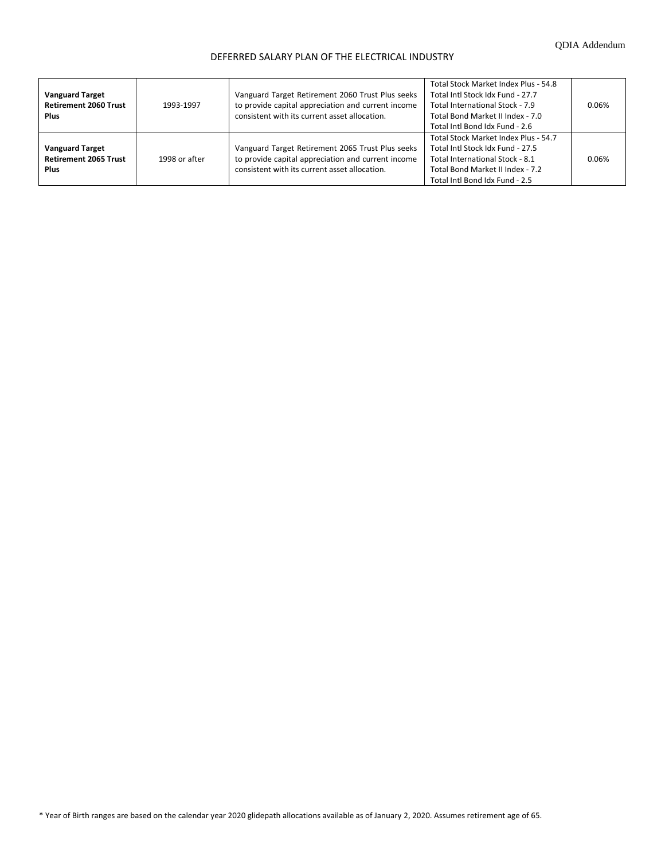# DEFERRED SALARY PLAN OF THE ELECTRICAL INDUSTRY

| <b>Vanguard Target</b><br><b>Retirement 2060 Trust</b><br><b>Plus</b> | 1993-1997     | Vanguard Target Retirement 2060 Trust Plus seeks<br>to provide capital appreciation and current income<br>consistent with its current asset allocation. | Total Stock Market Index Plus - 54.8<br>Total Intl Stock Idx Fund - 27.7<br>Total International Stock - 7.9<br>Total Bond Market II Index - 7.0<br>Total Intl Bond Idx Fund - 2.6 | 0.06% |
|-----------------------------------------------------------------------|---------------|---------------------------------------------------------------------------------------------------------------------------------------------------------|-----------------------------------------------------------------------------------------------------------------------------------------------------------------------------------|-------|
| <b>Vanguard Target</b><br><b>Retirement 2065 Trust</b><br><b>Plus</b> | 1998 or after | Vanguard Target Retirement 2065 Trust Plus seeks<br>to provide capital appreciation and current income<br>consistent with its current asset allocation. | Total Stock Market Index Plus - 54.7<br>Total Intl Stock Idx Fund - 27.5<br>Total International Stock - 8.1<br>Total Bond Market II Index - 7.2<br>Total Intl Bond Idx Fund - 2.5 | 0.06% |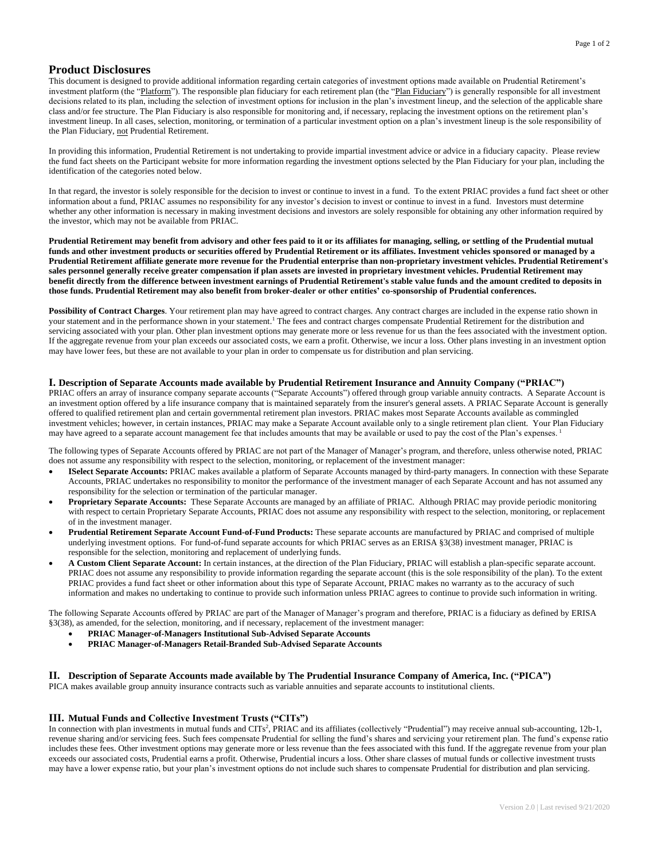# **Product Disclosures**

This document is designed to provide additional information regarding certain categories of investment options made available on Prudential Retirement's investment platform (the "Platform"). The responsible plan fiduciary for each retirement plan (the "Plan Fiduciary") is generally responsible for all investment decisions related to its plan, including the selection of investment options for inclusion in the plan's investment lineup, and the selection of the applicable share class and/or fee structure. The Plan Fiduciary is also responsible for monitoring and, if necessary, replacing the investment options on the retirement plan's investment lineup. In all cases, selection, monitoring, or termination of a particular investment option on a plan's investment lineup is the sole responsibility of the Plan Fiduciary, not Prudential Retirement.

In providing this information, Prudential Retirement is not undertaking to provide impartial investment advice or advice in a fiduciary capacity. Please review the fund fact sheets on the Participant website for more information regarding the investment options selected by the Plan Fiduciary for your plan, including the identification of the categories noted below.

In that regard, the investor is solely responsible for the decision to invest or continue to invest in a fund. To the extent PRIAC provides a fund fact sheet or other information about a fund, PRIAC assumes no responsibility for any investor's decision to invest or continue to invest in a fund. Investors must determine whether any other information is necessary in making investment decisions and investors are solely responsible for obtaining any other information required by the investor, which may not be available from PRIAC.

**Prudential Retirement may benefit from advisory and other fees paid to it or its affiliates for managing, selling, or settling of the Prudential mutual funds and other investment products or securities offered by Prudential Retirement or its affiliates. Investment vehicles sponsored or managed by a Prudential Retirement affiliate generate more revenue for the Prudential enterprise than non-proprietary investment vehicles. Prudential Retirement's sales personnel generally receive greater compensation if plan assets are invested in proprietary investment vehicles. Prudential Retirement may benefit directly from the difference between investment earnings of Prudential Retirement's stable value funds and the amount credited to deposits in those funds. Prudential Retirement may also benefit from broker-dealer or other entities' co-sponsorship of Prudential conferences.**

**Possibility of Contract Charges**. Your retirement plan may have agreed to contract charges. Any contract charges are included in the expense ratio shown in your statement and in the performance shown in your statement. <sup>1</sup> The fees and contract charges compensate Prudential Retirement for the distribution and servicing associated with your plan. Other plan investment options may generate more or less revenue for us than the fees associated with the investment option. If the aggregate revenue from your plan exceeds our associated costs, we earn a profit. Otherwise, we incur a loss. Other plans investing in an investment option may have lower fees, but these are not available to your plan in order to compensate us for distribution and plan servicing.

## **I. Description of Separate Accounts made available by Prudential Retirement Insurance and Annuity Company ("PRIAC")**

PRIAC offers an array of insurance company separate accounts ("Separate Accounts") offered through group variable annuity contracts. A Separate Account is an investment option offered by a life insurance company that is maintained separately from the insurer's general assets. A PRIAC Separate Account is generally offered to qualified retirement plan and certain governmental retirement plan investors. PRIAC makes most Separate Accounts available as commingled investment vehicles; however, in certain instances, PRIAC may make a Separate Account available only to a single retirement plan client. Your Plan Fiduciary may have agreed to a separate account management fee that includes amounts that may be available or used to pay the cost of the Plan's expenses.<sup>1</sup>

The following types of Separate Accounts offered by PRIAC are not part of the Manager of Manager's program, and therefore, unless otherwise noted, PRIAC does not assume any responsibility with respect to the selection, monitoring, or replacement of the investment manager:

- **ISelect Separate Accounts:** PRIAC makes available a platform of Separate Accounts managed by third-party managers. In connection with these Separate Accounts, PRIAC undertakes no responsibility to monitor the performance of the investment manager of each Separate Account and has not assumed any responsibility for the selection or termination of the particular manager.
- **Proprietary Separate Accounts:** These Separate Accounts are managed by an affiliate of PRIAC. Although PRIAC may provide periodic monitoring with respect to certain Proprietary Separate Accounts, PRIAC does not assume any responsibility with respect to the selection, monitoring, or replacement of in the investment manager.
- **Prudential Retirement Separate Account Fund-of-Fund Products:** These separate accounts are manufactured by PRIAC and comprised of multiple underlying investment options. For fund-of-fund separate accounts for which PRIAC serves as an ERISA §3(38) investment manager, PRIAC is responsible for the selection, monitoring and replacement of underlying funds.
- **A Custom Client Separate Account:** In certain instances, at the direction of the Plan Fiduciary, PRIAC will establish a plan-specific separate account. PRIAC does not assume any responsibility to provide information regarding the separate account (this is the sole responsibility of the plan). To the extent PRIAC provides a fund fact sheet or other information about this type of Separate Account, PRIAC makes no warranty as to the accuracy of such information and makes no undertaking to continue to provide such information unless PRIAC agrees to continue to provide such information in writing.

The following Separate Accounts offered by PRIAC are part of the Manager of Manager's program and therefore, PRIAC is a fiduciary as defined by ERISA §3(38), as amended, for the selection, monitoring, and if necessary, replacement of the investment manager:

- **PRIAC Manager-of-Managers Institutional Sub-Advised Separate Accounts**
- **PRIAC Manager-of-Managers Retail-Branded Sub-Advised Separate Accounts**

## **II. Description of Separate Accounts made available by The Prudential Insurance Company of America, Inc. ("PICA")**

PICA makes available group annuity insurance contracts such as variable annuities and separate accounts to institutional clients.

## **III. Mutual Funds and Collective Investment Trusts ("CITs")**

In connection with plan investments in mutual funds and CITs<sup>2</sup>, PRIAC and its affiliates (collectively "Prudential") may receive annual sub-accounting, 12b-1, revenue sharing and/or servicing fees. Such fees compensate Prudential for selling the fund's shares and servicing your retirement plan. The fund's expense ratio includes these fees. Other investment options may generate more or less revenue than the fees associated with this fund. If the aggregate revenue from your plan exceeds our associated costs, Prudential earns a profit. Otherwise, Prudential incurs a loss. Other share classes of mutual funds or collective investment trusts may have a lower expense ratio, but your plan's investment options do not include such shares to compensate Prudential for distribution and plan servicing.